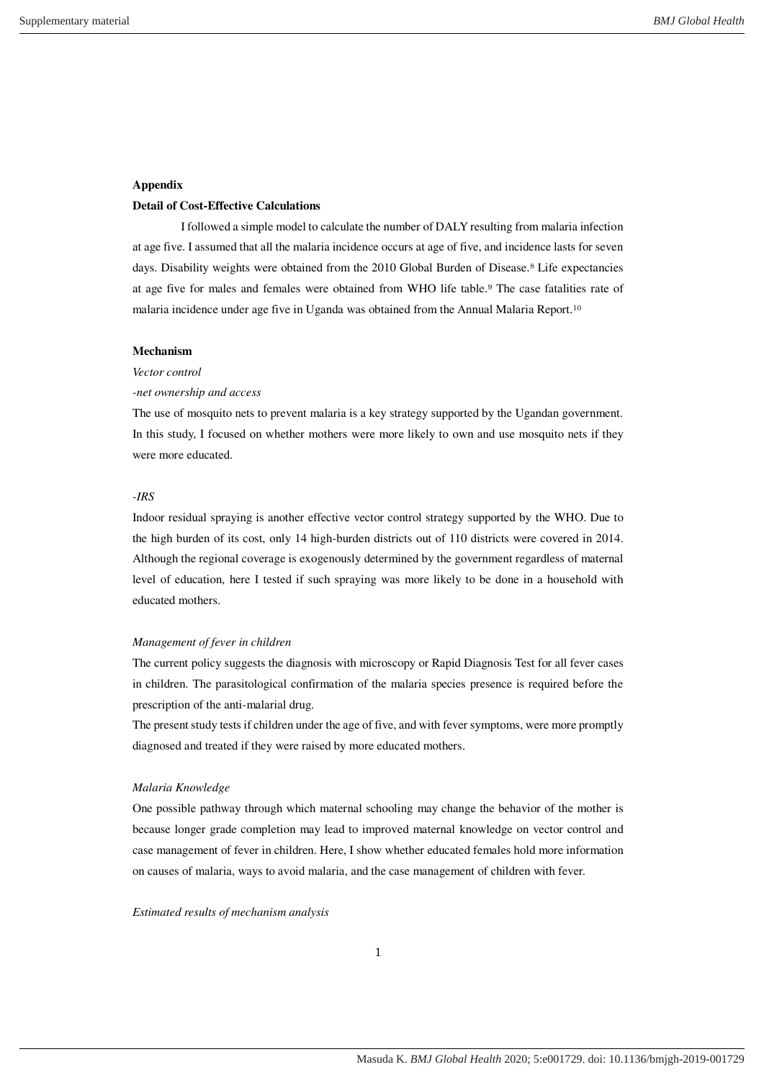### **Appendix**

# **Detail of Cost-Effective Calculations**

I followed a simple model to calculate the number of DALY resulting from malaria infection at age five. I assumed that all the malaria incidence occurs at age of five, and incidence lasts for seven days. Disability weights were obtained from the 2010 Global Burden of Disease.<sup>8</sup> Life expectancies at age five for males and females were obtained from WHO life table. <sup>9</sup> The case fatalities rate of malaria incidence under age five in Uganda was obtained from the Annual Malaria Report. 10

#### **Mechanism**

# *Vector control*

#### *-net ownership and access*

The use of mosquito nets to prevent malaria is a key strategy supported by the Ugandan government. In this study, I focused on whether mothers were more likely to own and use mosquito nets if they were more educated.

# *-IRS*

Indoor residual spraying is another effective vector control strategy supported by the WHO. Due to the high burden of its cost, only 14 high-burden districts out of 110 districts were covered in 2014. Although the regional coverage is exogenously determined by the government regardless of maternal level of education, here I tested if such spraying was more likely to be done in a household with educated mothers.

#### *Management of fever in children*

The current policy suggests the diagnosis with microscopy or Rapid Diagnosis Test for all fever cases in children. The parasitological confirmation of the malaria species presence is required before the prescription of the anti-malarial drug.

The present study tests if children under the age of five, and with fever symptoms, were more promptly diagnosed and treated if they were raised by more educated mothers.

#### *Malaria Knowledge*

One possible pathway through which maternal schooling may change the behavior of the mother is because longer grade completion may lead to improved maternal knowledge on vector control and case management of fever in children. Here, I show whether educated females hold more information on causes of malaria, ways to avoid malaria, and the case management of children with fever.

#### *Estimated results of mechanism analysis*

1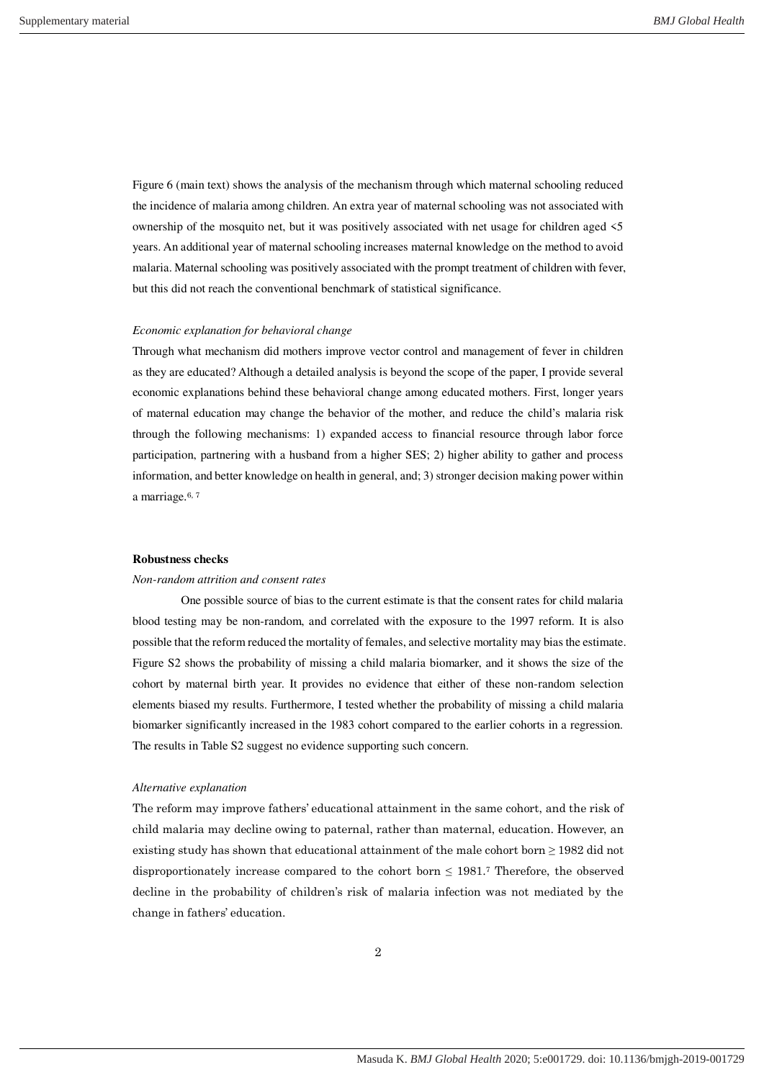Figure 6 (main text) shows the analysis of the mechanism through which maternal schooling reduced the incidence of malaria among children. An extra year of maternal schooling was not associated with ownership of the mosquito net, but it was positively associated with net usage for children aged <5 years. An additional year of maternal schooling increases maternal knowledge on the method to avoid malaria. Maternal schooling was positively associated with the prompt treatment of children with fever, but this did not reach the conventional benchmark of statistical significance.

## *Economic explanation for behavioral change*

Through what mechanism did mothers improve vector control and management of fever in children as they are educated? Although a detailed analysis is beyond the scope of the paper, I provide several economic explanations behind these behavioral change among educated mothers. First, longer years of maternal education may change the behavior of the mother, and reduce the child's malaria risk through the following mechanisms: 1) expanded access to financial resource through labor force participation, partnering with a husband from a higher SES; 2) higher ability to gather and process information, and better knowledge on health in general, and; 3) stronger decision making power within a marriage. 6, 7

#### **Robustness checks**

#### *Non-random attrition and consent rates*

 One possible source of bias to the current estimate is that the consent rates for child malaria blood testing may be non-random, and correlated with the exposure to the 1997 reform. It is also possible that the reform reduced the mortality of females, and selective mortality may bias the estimate. Figure S2 shows the probability of missing a child malaria biomarker, and it shows the size of the cohort by maternal birth year. It provides no evidence that either of these non-random selection elements biased my results. Furthermore, I tested whether the probability of missing a child malaria biomarker significantly increased in the 1983 cohort compared to the earlier cohorts in a regression. The results in Table S2 suggest no evidence supporting such concern.

#### *Alternative explanation*

The reform may improve fathers' educational attainment in the same cohort, and the risk of child malaria may decline owing to paternal, rather than maternal, education. However, an existing study has shown that educational attainment of the male cohort born  $\geq$  1982 did not disproportionately increase compared to the cohort born  $\leq$  1981.<sup>7</sup> Therefore, the observed decline in the probability of children's risk of malaria infection was not mediated by the change in fathers' education.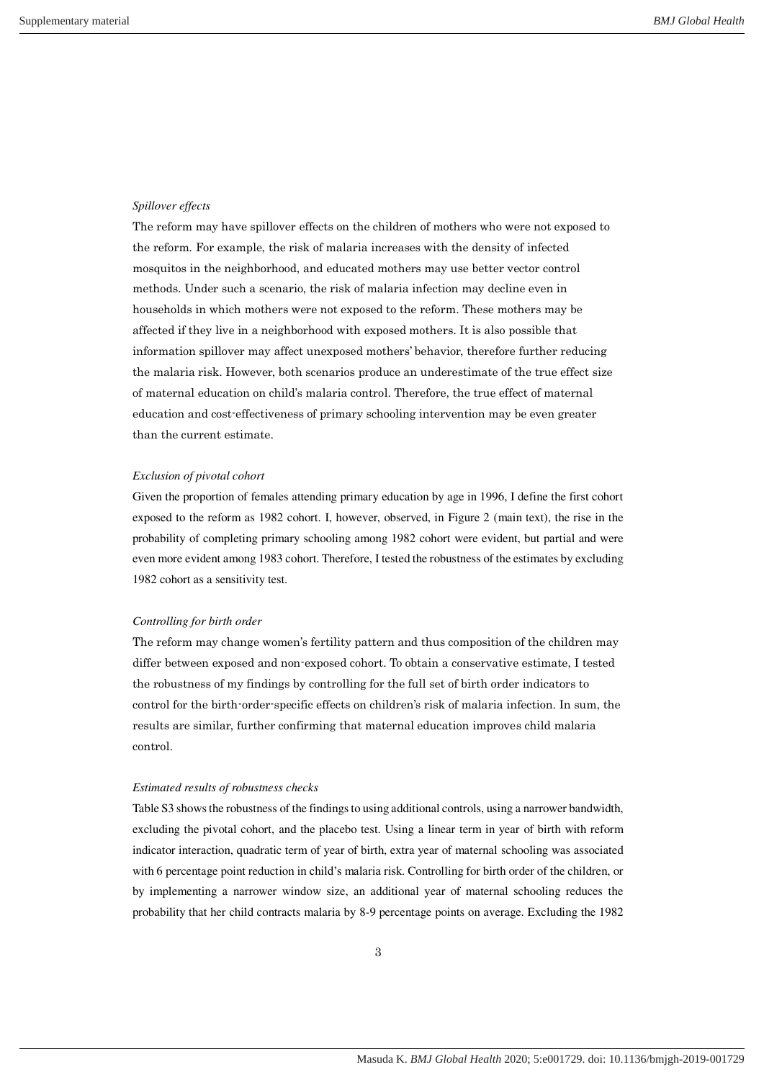#### *Spillover effects*

The reform may have spillover effects on the children of mothers who were not exposed to the reform. For example, the risk of malaria increases with the density of infected mosquitos in the neighborhood, and educated mothers may use better vector control methods. Under such a scenario, the risk of malaria infection may decline even in households in which mothers were not exposed to the reform. These mothers may be affected if they live in a neighborhood with exposed mothers. It is also possible that information spillover may affect unexposed mothers' behavior, therefore further reducing the malaria risk. However, both scenarios produce an underestimate of the true effect size of maternal education on child's malaria control. Therefore, the true effect of maternal education and cost-effectiveness of primary schooling intervention may be even greater than the current estimate.

#### *Exclusion of pivotal cohort*

Given the proportion of females attending primary education by age in 1996, I define the first cohort exposed to the reform as 1982 cohort. I, however, observed, in Figure 2 (main text), the rise in the probability of completing primary schooling among 1982 cohort were evident, but partial and were even more evident among 1983 cohort. Therefore, I tested the robustness of the estimates by excluding 1982 cohort as a sensitivity test.

#### *Controlling for birth order*

The reform may change women's fertility pattern and thus composition of the children may differ between exposed and non-exposed cohort. To obtain a conservative estimate, I tested the robustness of my findings by controlling for the full set of birth order indicators to control for the birth-order-specific effects on children's risk of malaria infection. In sum, the results are similar, further confirming that maternal education improves child malaria control.

#### *Estimated results of robustness checks*

Table S3 shows the robustness of the findings to using additional controls, using a narrower bandwidth, excluding the pivotal cohort, and the placebo test. Using a linear term in year of birth with reform indicator interaction, quadratic term of year of birth, extra year of maternal schooling was associated with 6 percentage point reduction in child's malaria risk. Controlling for birth order of the children, or by implementing a narrower window size, an additional year of maternal schooling reduces the probability that her child contracts malaria by 8-9 percentage points on average. Excluding the 1982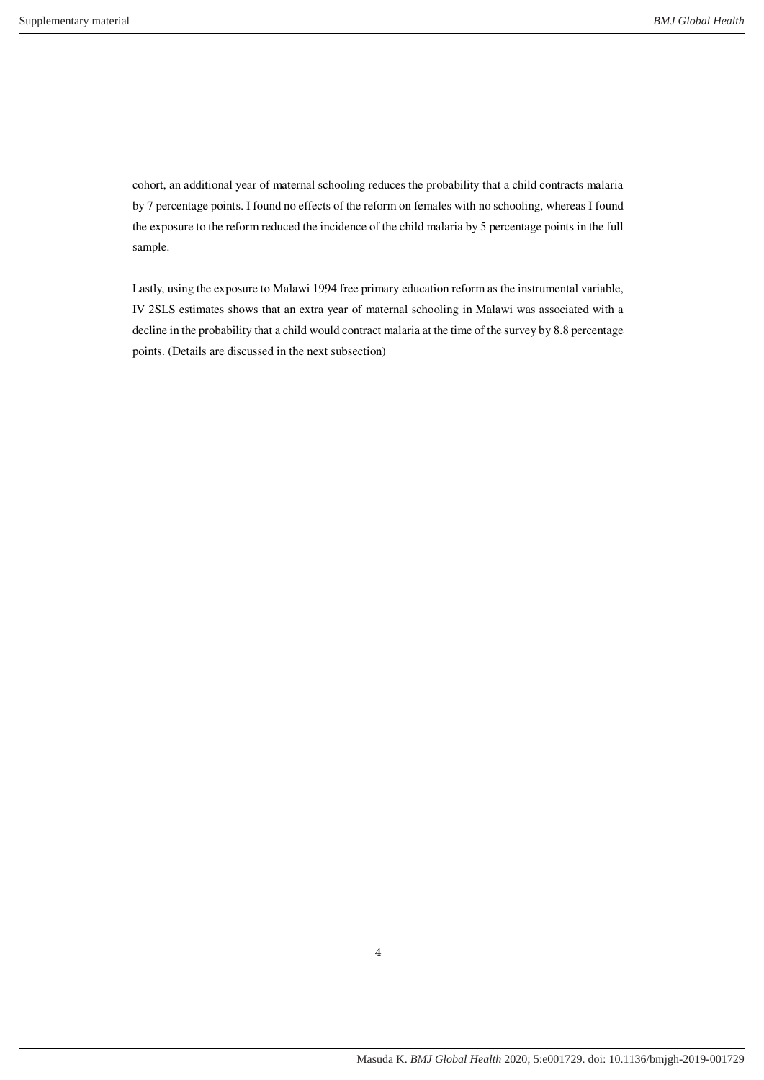cohort, an additional year of maternal schooling reduces the probability that a child contracts malaria by 7 percentage points. I found no effects of the reform on females with no schooling, whereas I found the exposure to the reform reduced the incidence of the child malaria by 5 percentage points in the full sample.

Lastly, using the exposure to Malawi 1994 free primary education reform as the instrumental variable, IV 2SLS estimates shows that an extra year of maternal schooling in Malawi was associated with a decline in the probability that a child would contract malaria at the time of the survey by 8.8 percentage points. (Details are discussed in the next subsection)

4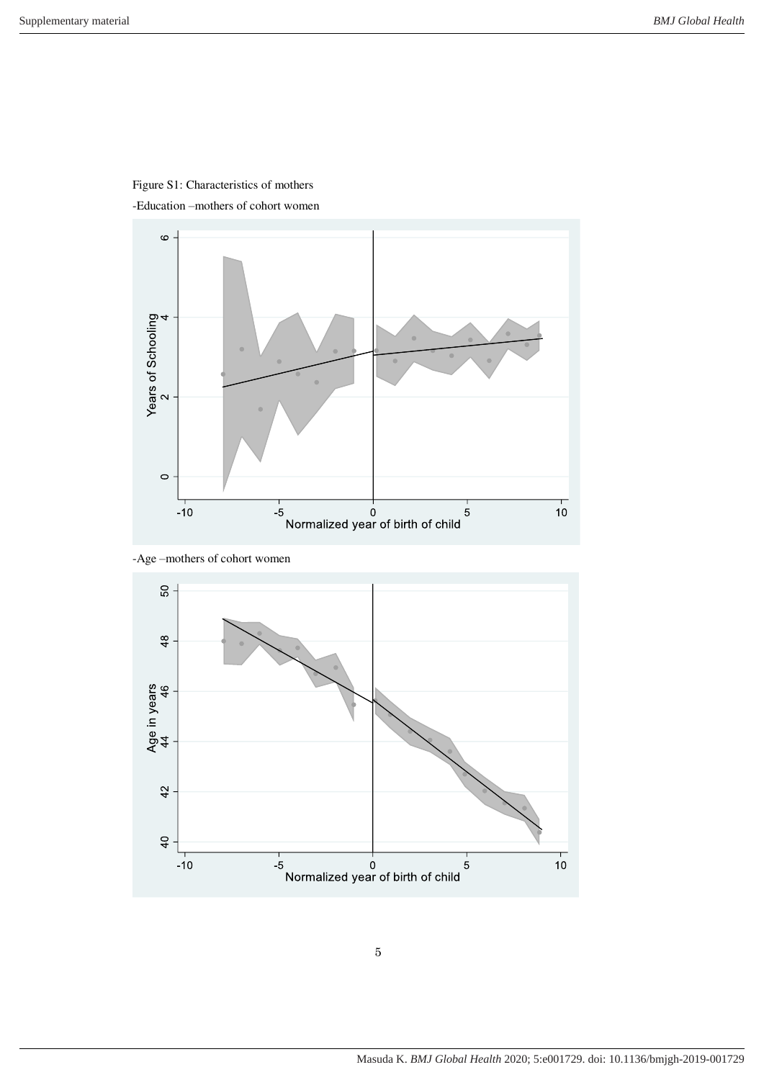

Figure S1: Characteristics of mothers



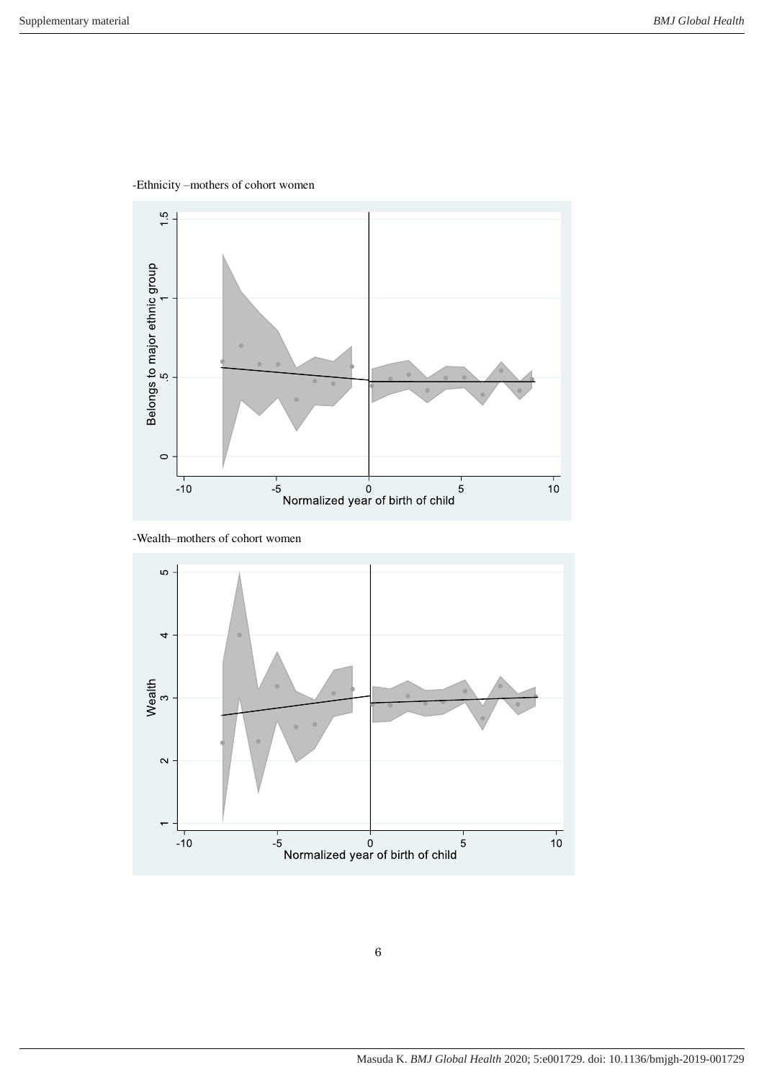



```
-Wealth–mothers of cohort women
```
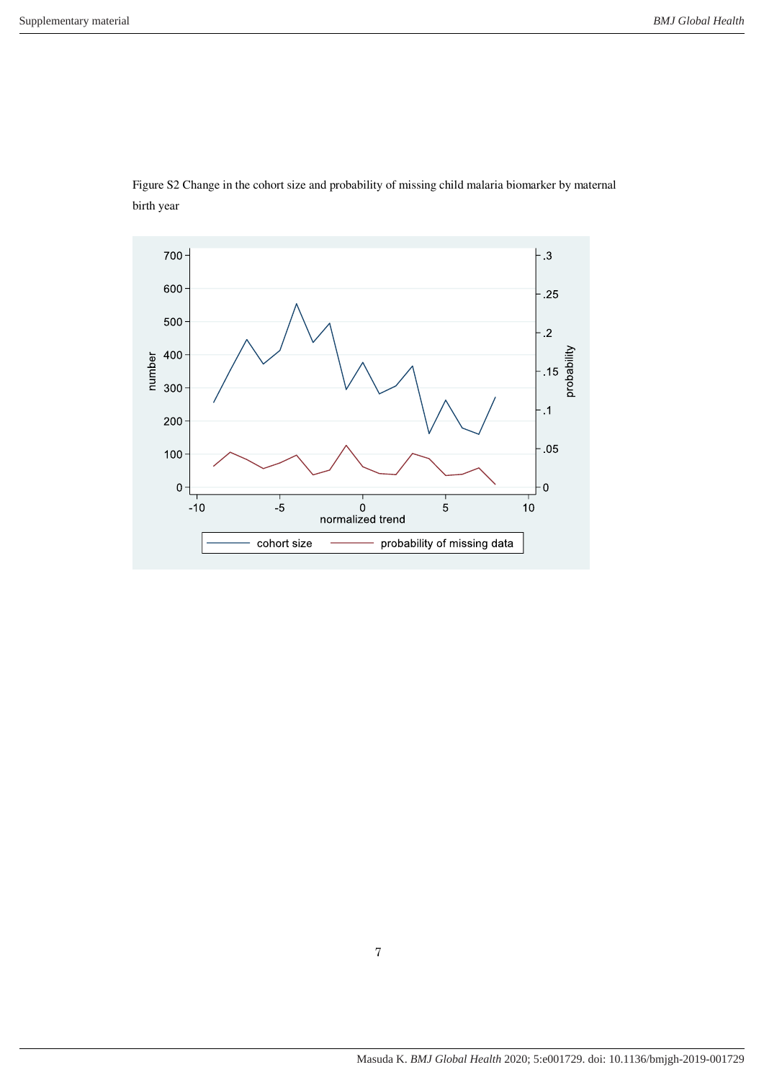

Figure S2 Change in the cohort size and probability of missing child malaria biomarker by maternal birth year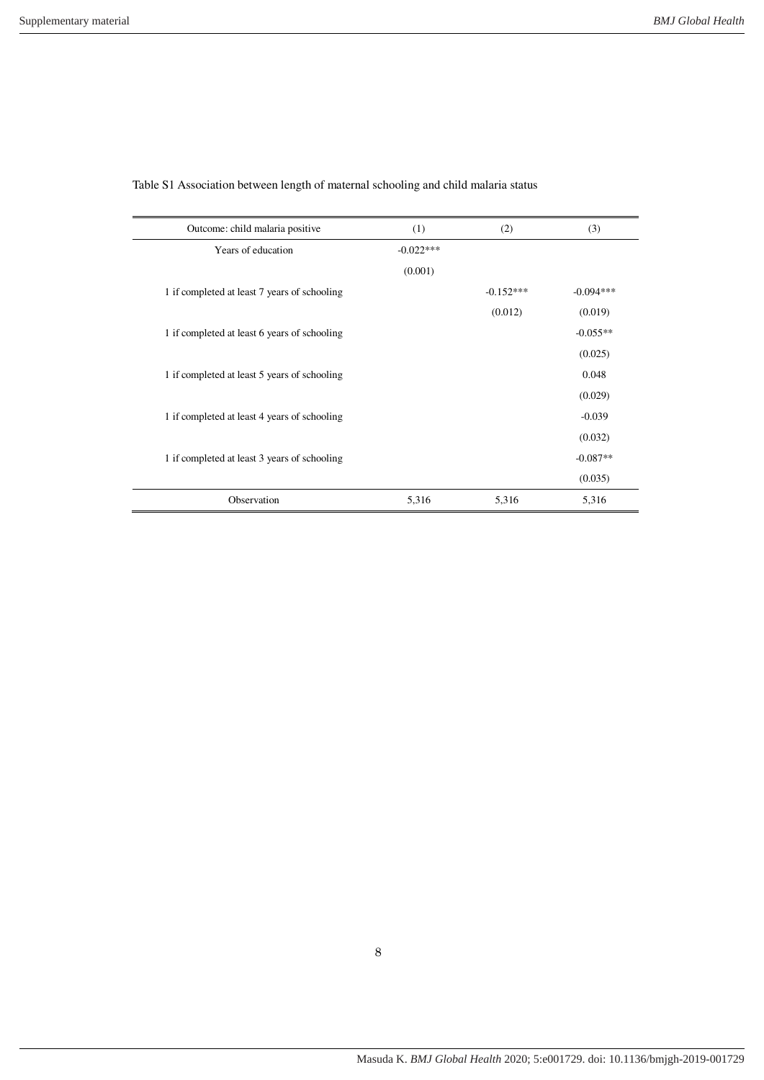| Outcome: child malaria positive              | (1)         | (2)         | (3)         |
|----------------------------------------------|-------------|-------------|-------------|
| Years of education                           | $-0.022***$ |             |             |
|                                              | (0.001)     |             |             |
| 1 if completed at least 7 years of schooling |             | $-0.152***$ | $-0.094***$ |
|                                              |             | (0.012)     | (0.019)     |
| 1 if completed at least 6 years of schooling |             |             | $-0.055**$  |
|                                              |             |             | (0.025)     |
| 1 if completed at least 5 years of schooling |             |             | 0.048       |
|                                              |             |             | (0.029)     |
| 1 if completed at least 4 years of schooling |             |             | $-0.039$    |
|                                              |             |             | (0.032)     |
| 1 if completed at least 3 years of schooling |             |             | $-0.087**$  |
|                                              |             |             | (0.035)     |
| Observation                                  | 5,316       | 5,316       | 5,316       |

Table S1 Association between length of maternal schooling and child malaria status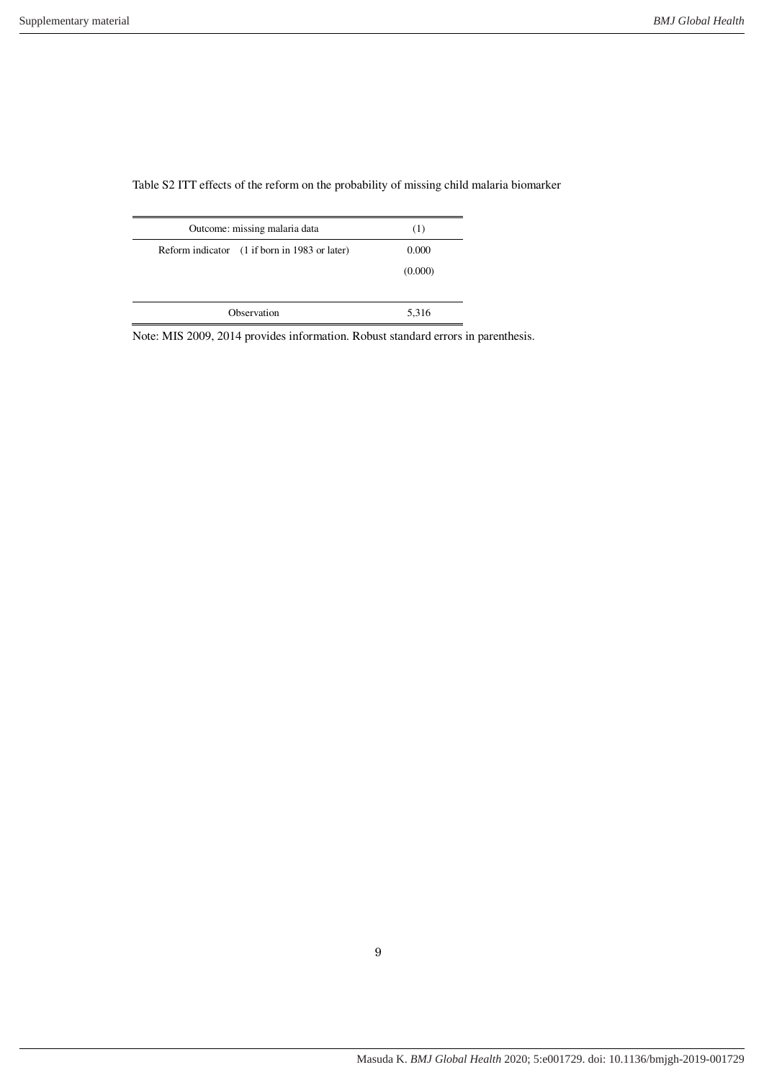Outcome: missing malaria data (1) Reform indicator (1 if born in 1983 or later) 0.000 (0.000) Observation 5,316

Table S2 ITT effects of the reform on the probability of missing child malaria biomarker

Note: MIS 2009, 2014 provides information. Robust standard errors in parenthesis.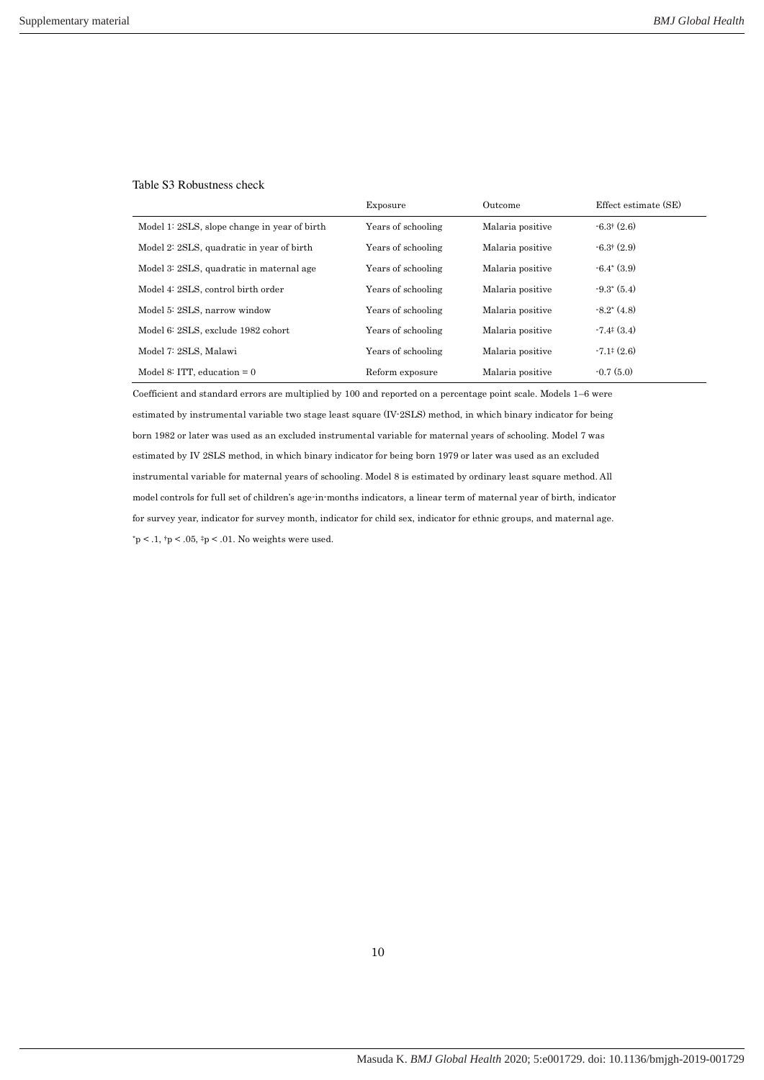## Table S3 Robustness check

|                                              | Exposure           | Outcome          | Effect estimate (SE)                     |
|----------------------------------------------|--------------------|------------------|------------------------------------------|
| Model 1: 2SLS, slope change in year of birth | Years of schooling | Malaria positive | $-6.3$ <sup><math>(2.6)</math></sup>     |
| Model 2: 2SLS, quadratic in year of birth    | Years of schooling | Malaria positive | $-6.3$ (2.9)                             |
| Model 3: 2SLS, quadratic in maternal age     | Years of schooling | Malaria positive | $-6.4^*(3.9)$                            |
| Model 4: 2SLS, control birth order           | Years of schooling | Malaria positive | $-9.3^{\ast}(5.4)$                       |
| Model 5: 2SLS, narrow window                 | Years of schooling | Malaria positive | $-8.2^*(4.8)$                            |
| Model 6: 2SLS, exclude 1982 cohort           | Years of schooling | Malaria positive | $-7.4$ <sup><math>\pm</math></sup> (3.4) |
| Model 7: 2SLS, Malawi                        | Years of schooling | Malaria positive | $-7.1^{\ddagger}(2.6)$                   |
| Model 8: ITT, education $= 0$                | Reform exposure    | Malaria positive | $-0.7(5.0)$                              |

Coefficient and standard errors are multiplied by 100 and reported on a percentage point scale. Models 1–6 were estimated by instrumental variable two stage least square (IV-2SLS) method, in which binary indicator for being born 1982 or later was used as an excluded instrumental variable for maternal years of schooling. Model 7 was estimated by IV 2SLS method, in which binary indicator for being born 1979 or later was used as an excluded instrumental variable for maternal years of schooling. Model 8 is estimated by ordinary least square method. All model controls for full set of children's age-in-months indicators, a linear term of maternal year of birth, indicator for survey year, indicator for survey month, indicator for child sex, indicator for ethnic groups, and maternal age.  ${\rm \dot{p}}$  < .1,  ${\rm \dot{p}}$  < .05,  ${\rm \dot{p}}$  < .01. No weights were used.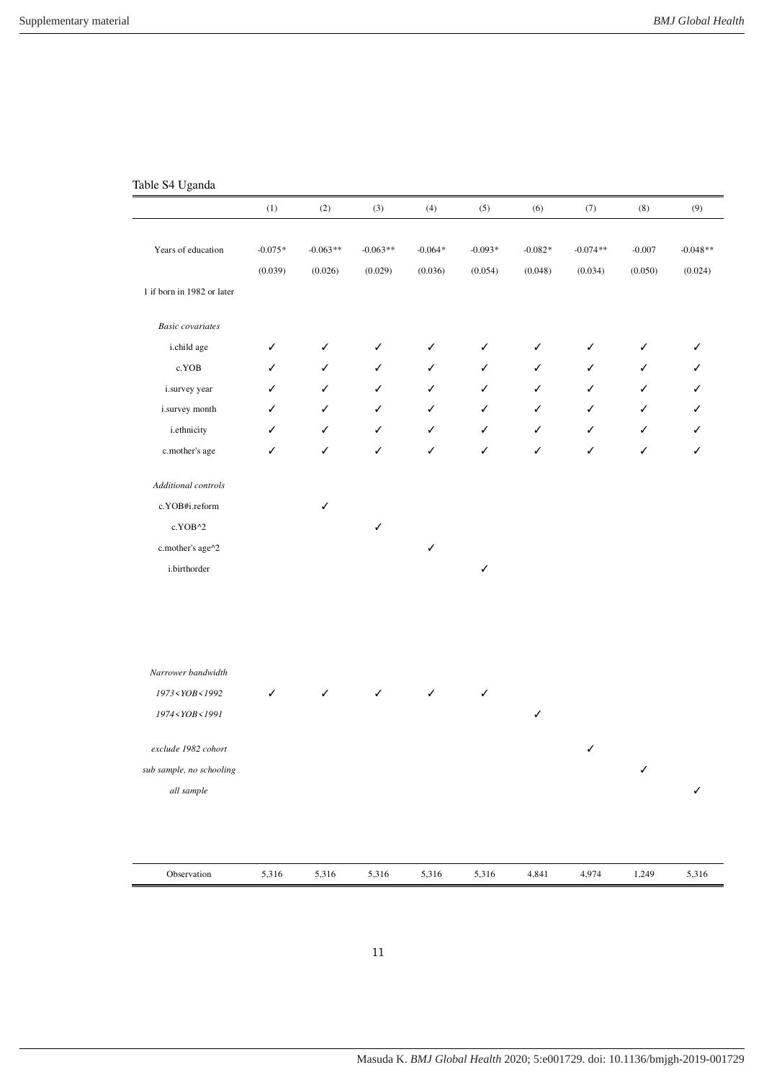# Table S4 Uganda

|                                                                                                                                                             | (1)                  | (2)                   | (3)                   | (4)                  | (5)                  | (6)                  | $\left( 7\right)$     | (8)                 | (9)                   |
|-------------------------------------------------------------------------------------------------------------------------------------------------------------|----------------------|-----------------------|-----------------------|----------------------|----------------------|----------------------|-----------------------|---------------------|-----------------------|
| Years of education                                                                                                                                          | $-0.075*$<br>(0.039) | $-0.063**$<br>(0.026) | $-0.063**$<br>(0.029) | $-0.064*$<br>(0.036) | $-0.093*$<br>(0.054) | $-0.082*$<br>(0.048) | $-0.074**$<br>(0.034) | $-0.007$<br>(0.050) | $-0.048**$<br>(0.024) |
| 1 if born in 1982 or later                                                                                                                                  |                      |                       |                       |                      |                      |                      |                       |                     |                       |
| <b>Basic</b> covariates                                                                                                                                     |                      |                       |                       |                      |                      |                      |                       |                     |                       |
| i.child age                                                                                                                                                 | ✓                    | ✓                     | ✓                     | ✓                    | ✓                    | ✓                    | ✓                     | ✓                   | ✓                     |
| c.YOB                                                                                                                                                       | ✓                    | ✓                     | ✓                     | ✓                    | ✓                    | ✓                    | ✓                     | ✓                   | ✓                     |
| i.survey year                                                                                                                                               | ✓                    | ✓                     | ✓                     | ✓                    | ✓                    | ✓                    | ✓                     | ✓                   | ✓                     |
| i.survey month                                                                                                                                              | ✓                    | ✓                     | ✓                     | ✓                    | ✓                    | ✓                    | ✓                     | ✓                   | ✓                     |
| <i>i.ethnicity</i>                                                                                                                                          | ✓                    | ✓                     | ✓                     | ✓                    | ✓                    | ✓                    | ✓                     | ✓                   | ✓                     |
| c.mother's age                                                                                                                                              | ✓                    | ✓                     | ✓                     | ✓                    | ✓                    | ✓                    | ✓                     | ✓                   | ✓                     |
| Additional controls                                                                                                                                         |                      |                       |                       |                      |                      |                      |                       |                     |                       |
| c.YOB#i.reform                                                                                                                                              |                      | ✓                     |                       |                      |                      |                      |                       |                     |                       |
| c.YOB^2                                                                                                                                                     |                      |                       | $\checkmark$          |                      |                      |                      |                       |                     |                       |
| c.mother's age^2                                                                                                                                            |                      |                       |                       | ✓                    |                      |                      |                       |                     |                       |
| i.birthorder                                                                                                                                                |                      |                       |                       |                      | $\checkmark$         |                      |                       |                     |                       |
|                                                                                                                                                             |                      |                       |                       |                      |                      |                      |                       |                     |                       |
|                                                                                                                                                             |                      |                       |                       |                      |                      |                      |                       |                     |                       |
| Narrower bandwidth                                                                                                                                          |                      |                       |                       |                      |                      |                      |                       |                     |                       |
| 1973 < YOB < 1992                                                                                                                                           | ✓                    | ✓                     | $\checkmark$          | ✓                    | $\checkmark$         |                      |                       |                     |                       |
| 1974 <yob<1991< td=""><td></td><td></td><td></td><td></td><td></td><td><math display="inline">\checkmark</math></td><td></td><td></td><td></td></yob<1991<> |                      |                       |                       |                      |                      | $\checkmark$         |                       |                     |                       |
| exclude 1982 cohort                                                                                                                                         |                      |                       |                       |                      |                      |                      | ✓                     |                     |                       |
| sub sample, no schooling                                                                                                                                    |                      |                       |                       |                      |                      |                      |                       | ✓                   |                       |
| all sample                                                                                                                                                  |                      |                       |                       |                      |                      |                      |                       |                     | ✓                     |
|                                                                                                                                                             |                      |                       |                       |                      |                      |                      |                       |                     |                       |
| Observation                                                                                                                                                 | 5,316                | 5,316                 | 5,316                 | 5,316                | 5,316                | 4,841                | 4,974                 | 1,249               | 5,316                 |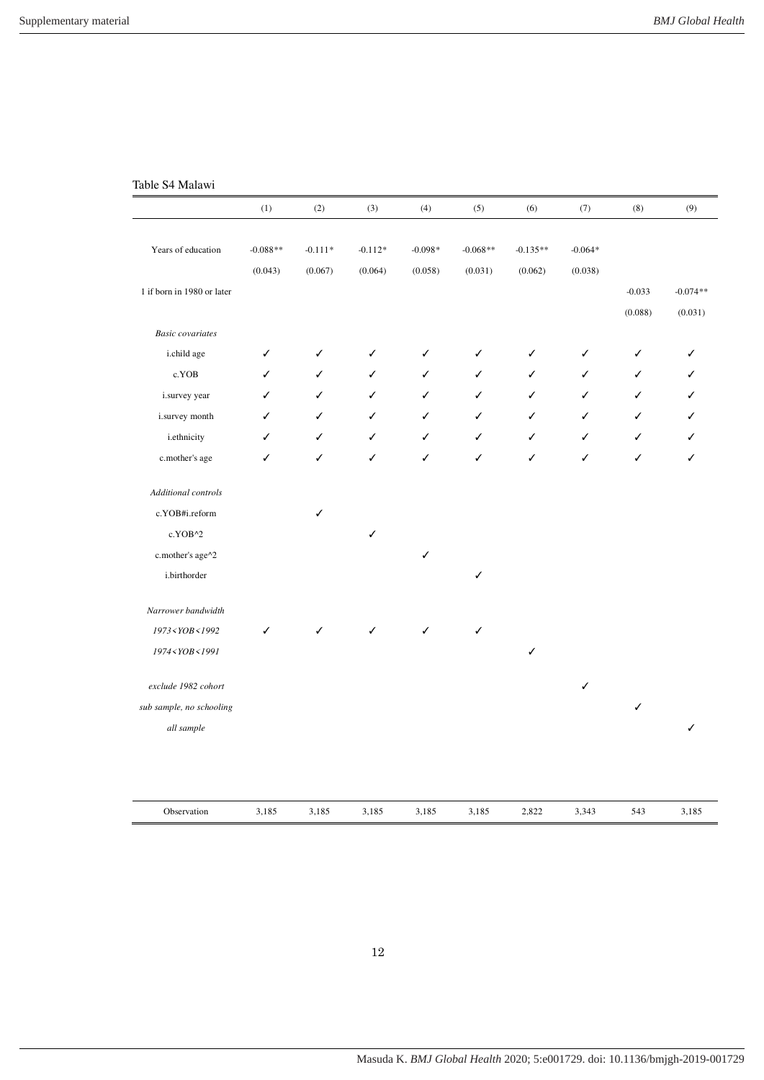# Table S4 Malawi

|                                                                                                                          | (1)        | $\left( 2\right)$ | (3)       | (4)       | (5)        | (6)        | (7)       | (8)          | (9)        |
|--------------------------------------------------------------------------------------------------------------------------|------------|-------------------|-----------|-----------|------------|------------|-----------|--------------|------------|
|                                                                                                                          |            |                   |           |           |            |            |           |              |            |
| Years of education                                                                                                       | $-0.088**$ | $-0.111*$         | $-0.112*$ | $-0.098*$ | $-0.068**$ | $-0.135**$ | $-0.064*$ |              |            |
|                                                                                                                          | (0.043)    | (0.067)           | (0.064)   | (0.058)   | (0.031)    | (0.062)    | (0.038)   |              |            |
| 1 if born in 1980 or later                                                                                               |            |                   |           |           |            |            |           | $-0.033$     | $-0.074**$ |
|                                                                                                                          |            |                   |           |           |            |            |           | (0.088)      | (0.031)    |
| <b>Basic</b> covariates                                                                                                  |            |                   |           |           |            |            |           |              |            |
| i.child age                                                                                                              | ✓          | ✓                 | ✓         | ✓         | ✓          | ✓          | ✓         | ✓            | ✓          |
| c.YOB                                                                                                                    | ✓          | ✓                 | ✓         | ✓         | ✓          | ✓          | ✓         | ✓            | ✓          |
| i.survey year                                                                                                            | ✓          | ✓                 | ✓         | ✓         | ✓          | ✓          | ✓         | ✓            | ✓          |
| i.survey month                                                                                                           | ✓          | ✓                 | ✓         | ✓         | ✓          | ✓          | ✓         | ✓            | ✓          |
| <i>i.ethnicity</i>                                                                                                       | ✓          | ✓                 | ✓         | ✓         | ✓          | ✓          | ✓         | ✓            | ✓          |
| c.mother's age                                                                                                           | ✓          | ✓                 | ✓         | ✓         | ✓          | ✓          | ✓         | ✓            | ✓          |
| Additional controls                                                                                                      |            |                   |           |           |            |            |           |              |            |
| c.YOB#i.reform                                                                                                           |            | ✓                 |           |           |            |            |           |              |            |
| c.YOB^2                                                                                                                  |            |                   | ✓         |           |            |            |           |              |            |
| c.mother's age^2                                                                                                         |            |                   |           | ✓         |            |            |           |              |            |
| i.birthorder                                                                                                             |            |                   |           |           | ✓          |            |           |              |            |
| Narrower bandwidth                                                                                                       |            |                   |           |           |            |            |           |              |            |
| 1973 <yob<1992< td=""><td>✓</td><td>✓</td><td>✓</td><td>✓</td><td>✓</td><td></td><td></td><td></td><td></td></yob<1992<> | ✓          | ✓                 | ✓         | ✓         | ✓          |            |           |              |            |
| 1974 <yob<1991< td=""><td></td><td></td><td></td><td></td><td></td><td>✓</td><td></td><td></td><td></td></yob<1991<>     |            |                   |           |           |            | ✓          |           |              |            |
| exclude 1982 cohort                                                                                                      |            |                   |           |           |            |            | ✓         |              |            |
| sub sample, no schooling                                                                                                 |            |                   |           |           |            |            |           | $\checkmark$ |            |
| all sample                                                                                                               |            |                   |           |           |            |            |           |              |            |
|                                                                                                                          |            |                   |           |           |            |            |           |              |            |
|                                                                                                                          |            |                   |           |           |            |            |           |              |            |
| Observation                                                                                                              | 3,185      | 3,185             | 3,185     | 3,185     | 3,185      | 2,822      | 3,343     | 543          | 3,185      |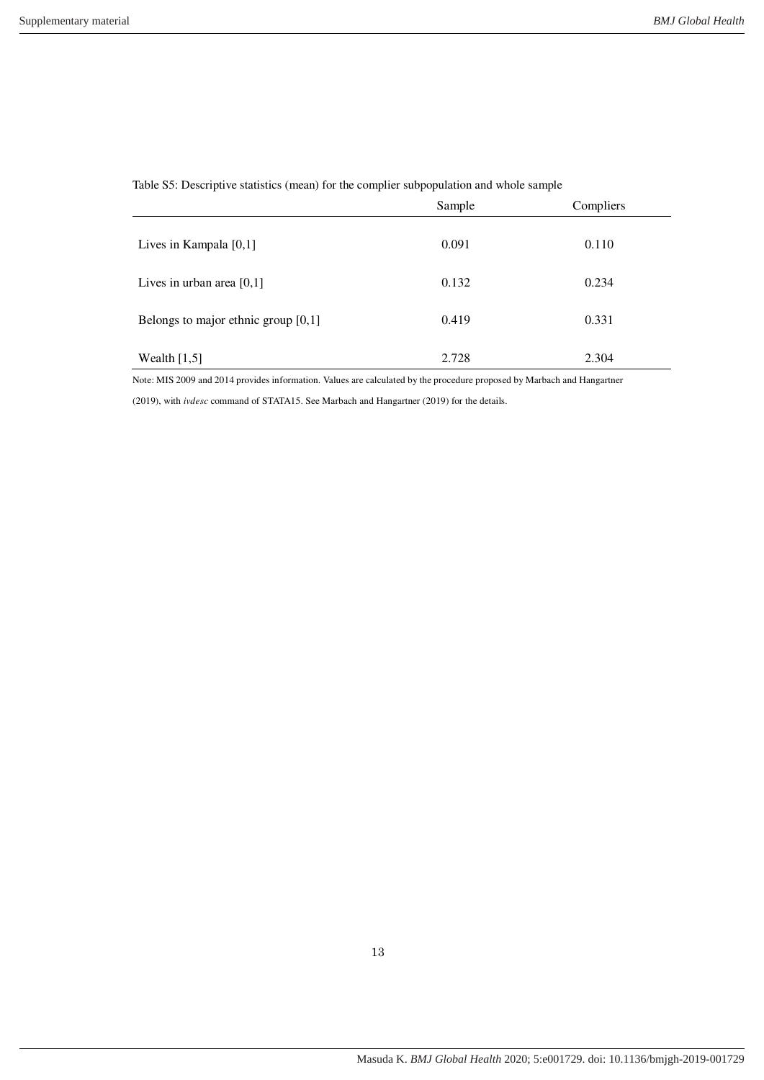|                                       | Sample | Compliers |
|---------------------------------------|--------|-----------|
| Lives in Kampala [0,1]                | 0.091  | 0.110     |
| Lives in urban area $[0,1]$           | 0.132  | 0.234     |
| Belongs to major ethnic group $[0,1]$ | 0.419  | 0.331     |
| Wealth $[1,5]$                        | 2.728  | 2.304     |

Table S5: Descriptive statistics (mean) for the complier subpopulation and whole sample

Note: MIS 2009 and 2014 provides information. Values are calculated by the procedure proposed by Marbach and Hangartner

(2019), with *ivdesc* command of STATA15. See Marbach and Hangartner (2019) for the details.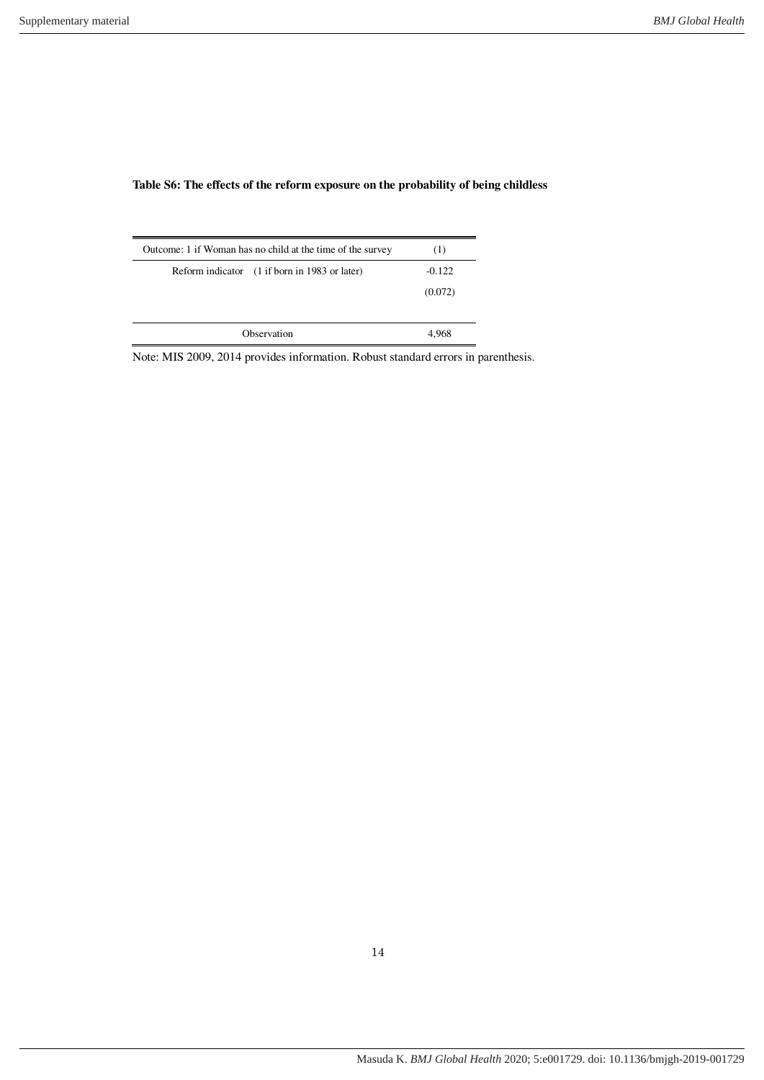| Outcome: 1 if Woman has no child at the time of the survey | (1)      |
|------------------------------------------------------------|----------|
| Reform indicator (1 if born in 1983 or later)              | $-0.122$ |
|                                                            | (0.072)  |
|                                                            |          |
| Observation                                                |          |

# **Table S6: The effects of the reform exposure on the probability of being childless**

Note: MIS 2009, 2014 provides information. Robust standard errors in parenthesis.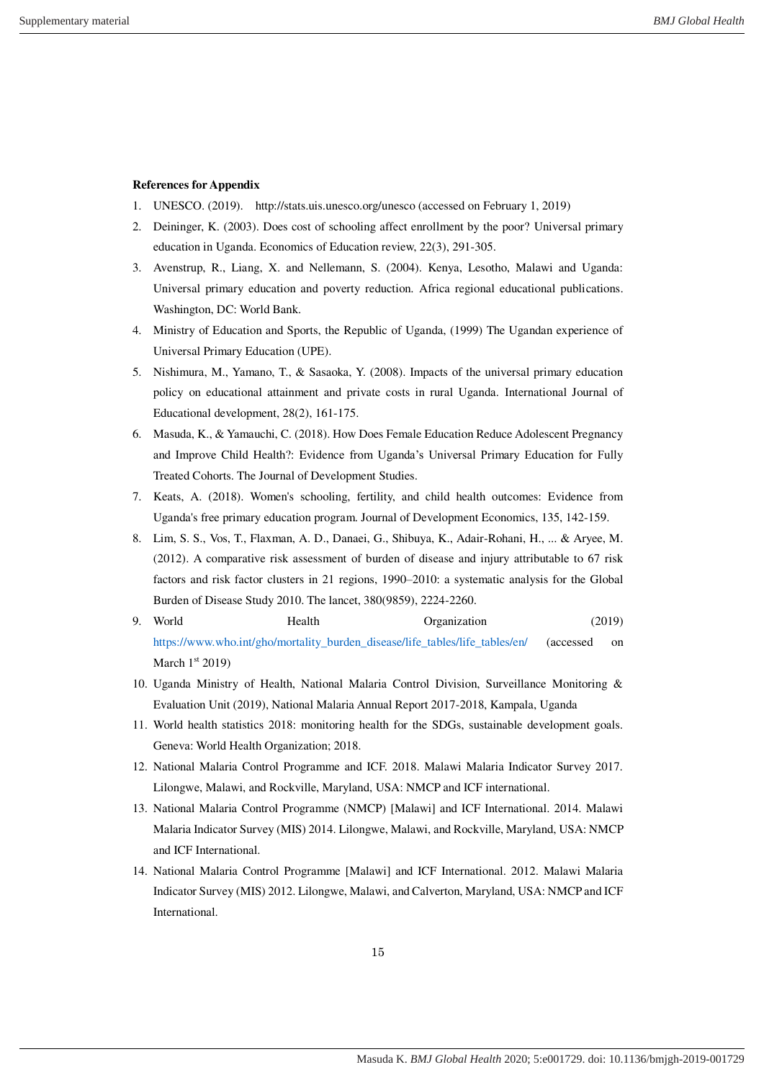# **References for Appendix**

- 1. UNESCO. (2019). http://stats.uis.unesco.org/unesco (accessed on February 1, 2019)
- 2. Deininger, K. (2003). Does cost of schooling affect enrollment by the poor? Universal primary education in Uganda. Economics of Education review, 22(3), 291-305.
- 3. Avenstrup, R., Liang, X. and Nellemann, S. (2004). Kenya, Lesotho, Malawi and Uganda: Universal primary education and poverty reduction. Africa regional educational publications. Washington, DC: World Bank.
- 4. Ministry of Education and Sports, the Republic of Uganda, (1999) The Ugandan experience of Universal Primary Education (UPE).
- 5. Nishimura, M., Yamano, T., & Sasaoka, Y. (2008). Impacts of the universal primary education policy on educational attainment and private costs in rural Uganda. International Journal of Educational development, 28(2), 161-175.
- 6. Masuda, K., & Yamauchi, C. (2018). How Does Female Education Reduce Adolescent Pregnancy and Improve Child Health?: Evidence from Uganda's Universal Primary Education for Fully Treated Cohorts. The Journal of Development Studies.
- 7. Keats, A. (2018). Women's schooling, fertility, and child health outcomes: Evidence from Uganda's free primary education program. Journal of Development Economics, 135, 142-159.
- 8. Lim, S. S., Vos, T., Flaxman, A. D., Danaei, G., Shibuya, K., Adair-Rohani, H., ... & Aryee, M. (2012). A comparative risk assessment of burden of disease and injury attributable to 67 risk factors and risk factor clusters in 21 regions, 1990–2010: a systematic analysis for the Global Burden of Disease Study 2010. The lancet, 380(9859), 2224-2260.
- 9. World Health Organization (2019) [https://www.who.int/gho/mortality\\_burden\\_disease/life\\_tables/life\\_tables/en/](https://www.who.int/gho/mortality_burden_disease/life_tables/life_tables/en/) (accessed on March  $1<sup>st</sup> 2019$ )
- 10. Uganda Ministry of Health, National Malaria Control Division, Surveillance Monitoring & Evaluation Unit (2019), National Malaria Annual Report 2017-2018, Kampala, Uganda
- 11. World health statistics 2018: monitoring health for the SDGs, sustainable development goals. Geneva: World Health Organization; 2018.
- 12. National Malaria Control Programme and ICF. 2018. Malawi Malaria Indicator Survey 2017. Lilongwe, Malawi, and Rockville, Maryland, USA: NMCP and ICF international.
- 13. National Malaria Control Programme (NMCP) [Malawi] and ICF International. 2014. Malawi Malaria Indicator Survey (MIS) 2014. Lilongwe, Malawi, and Rockville, Maryland, USA: NMCP and ICF International.
- 14. National Malaria Control Programme [Malawi] and ICF International. 2012. Malawi Malaria Indicator Survey (MIS) 2012. Lilongwe, Malawi, and Calverton, Maryland, USA: NMCP and ICF **International**